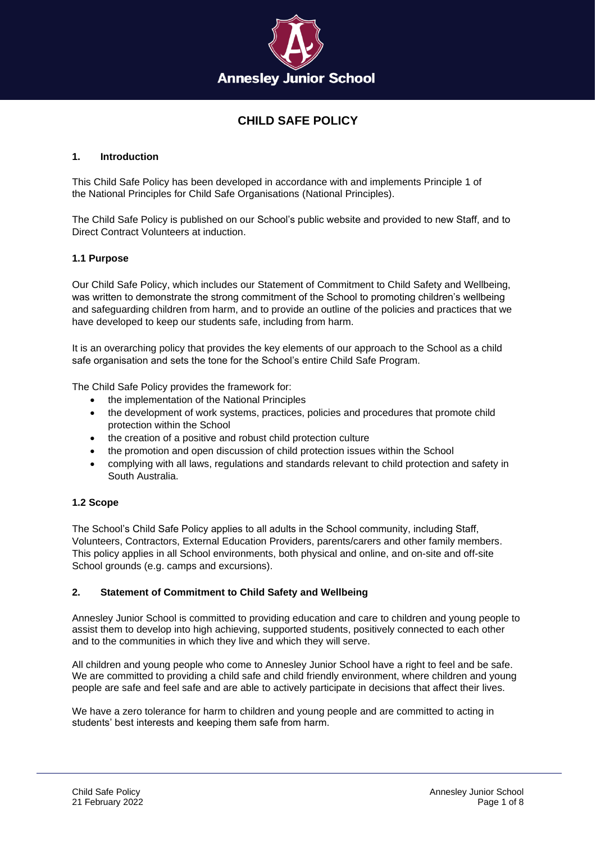

# **CHILD SAFE POLICY**

# **1. Introduction**

This Child Safe Policy has been developed in accordance with and implements Principle 1 of the [National Principles for Child Safe Organisations](https://humanrights.gov.au/sites/default/files/National%20Principles%20for%20Child%20Safe%20Organisations.pdf) (National Principles).

The Child Safe Policy is published on our School's public website and provided to new Staff, and to Direct Contract Volunteers at induction.

# **1.1 Purpose**

Our Child Safe Policy, which includes our Statement of Commitment to Child Safety and Wellbeing, was written to demonstrate the strong commitment of the School to promoting children's wellbeing and safeguarding children from harm, and to provide an outline of the policies and practices that we have developed to keep our students safe, including from harm.

It is an overarching policy that provides the key elements of our approach to the School as a child safe organisation and sets the tone for the School's entire Child Safe Program.

The Child Safe Policy provides the framework for:

- the implementation of the National Principles
- the development of work systems, practices, policies and procedures that promote child protection within the School
- the creation of a positive and robust child protection culture
- the promotion and open discussion of child protection issues within the School
- complying with all laws, regulations and standards relevant to child protection and safety in South Australia.

# **1.2 Scope**

The School's Child Safe Policy applies to all adults in the School community, including Staff, Volunteers, Contractors, External Education Providers, parents/carers and other family members. This policy applies in all School environments, both physical and online, and on-site and off-site School grounds (e.g. camps and excursions).

# **2. Statement of Commitment to Child Safety and Wellbeing**

Annesley Junior School is committed to providing education and care to children and young people to assist them to develop into high achieving, supported students, positively connected to each other and to the communities in which they live and which they will serve.

All children and young people who come to Annesley Junior School have a right to feel and be safe. We are committed to providing a child safe and child friendly environment, where children and young people are safe and feel safe and are able to actively participate in decisions that affect their lives.

We have a zero tolerance for harm to children and young people and are committed to acting in students' best interests and keeping them safe from harm.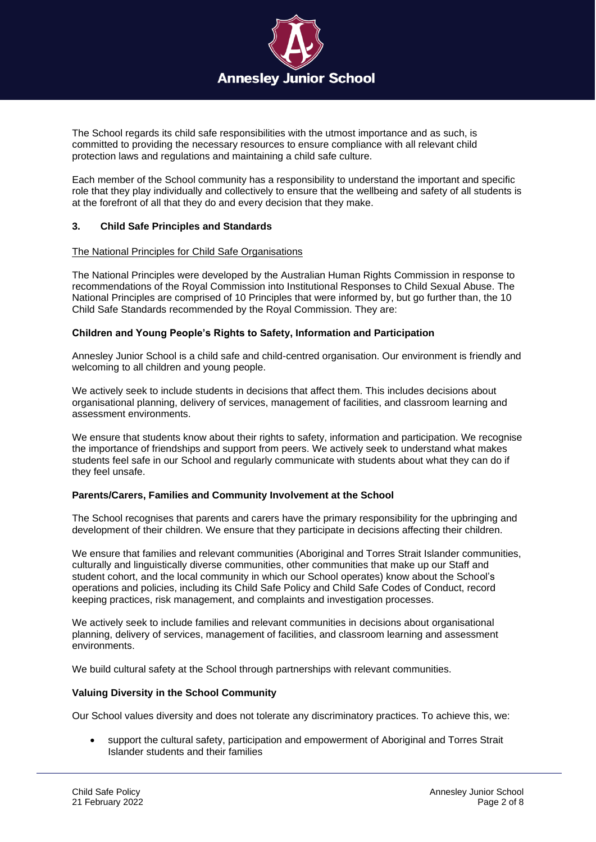

The School regards its child safe responsibilities with the utmost importance and as such, is committed to providing the necessary resources to ensure compliance with all relevant child protection laws and regulations and maintaining a child safe culture.

Each member of the School community has a responsibility to understand the important and specific role that they play individually and collectively to ensure that the wellbeing and safety of all students is at the forefront of all that they do and every decision that they make.

# **3. Child Safe Principles and Standards**

#### The National Principles for Child Safe Organisations

The National Principles were developed by the Australian Human Rights Commission in response to recommendations of the Royal Commission into Institutional Responses to Child Sexual Abuse. The National Principles are comprised of 10 Principles that were informed by, but go further than, the 10 Child Safe Standards recommended by the Royal Commission. They are:

## **Children and Young People's Rights to Safety, Information and Participation**

Annesley Junior School is a child safe and child-centred organisation. Our environment is friendly and welcoming to all children and young people.

We actively seek to include students in decisions that affect them. This includes decisions about organisational planning, delivery of services, management of facilities, and classroom learning and assessment environments.

We ensure that students know about their rights to safety, information and participation. We recognise the importance of friendships and support from peers. We actively seek to understand what makes students feel safe in our School and regularly communicate with students about what they can do if they feel unsafe.

## **Parents/Carers, Families and Community Involvement at the School**

The School recognises that parents and carers have the primary responsibility for the upbringing and development of their children. We ensure that they participate in decisions affecting their children.

We ensure that families and relevant communities (Aboriginal and Torres Strait Islander communities, culturally and linguistically diverse communities, other communities that make up our Staff and student cohort, and the local community in which our School operates) know about the School's operations and policies, including its Child Safe Policy and Child Safe Codes of Conduct, record keeping practices, risk management, and complaints and investigation processes.

We actively seek to include families and relevant communities in decisions about organisational planning, delivery of services, management of facilities, and classroom learning and assessment environments.

We build cultural safety at the School through partnerships with relevant communities.

## **Valuing Diversity in the School Community**

Our School values diversity and does not tolerate any discriminatory practices. To achieve this, we:

• support the cultural safety, participation and empowerment of Aboriginal and Torres Strait Islander students and their families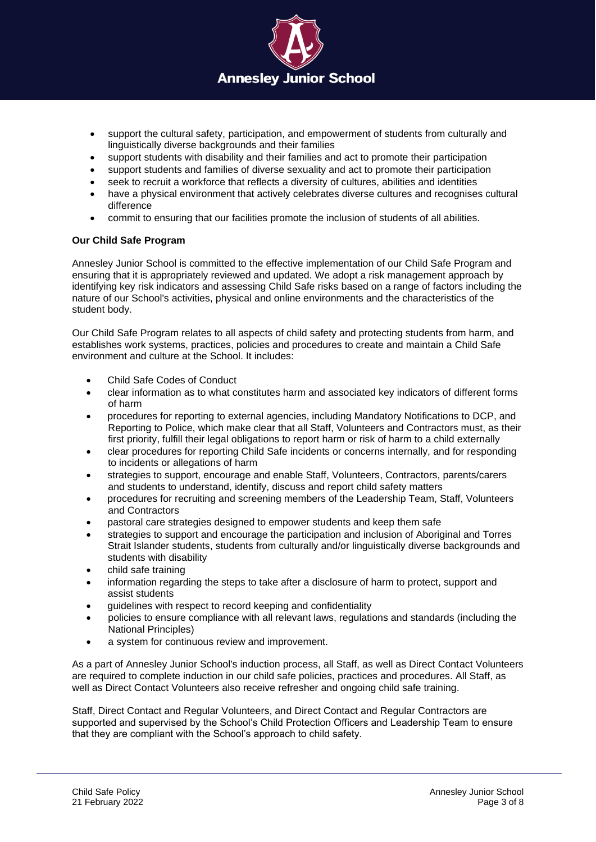

- support the cultural safety, participation, and empowerment of students from culturally and linguistically diverse backgrounds and their families
- support students with disability and their families and act to promote their participation
- support students and families of diverse sexuality and act to promote their participation
- seek to recruit a workforce that reflects a diversity of cultures, abilities and identities
- have a physical environment that actively celebrates diverse cultures and recognises cultural difference
- commit to ensuring that our facilities promote the inclusion of students of all abilities.

# **Our Child Safe Program**

Annesley Junior School is committed to the effective implementation of our Child Safe Program and ensuring that it is appropriately reviewed and updated. We adopt a risk management approach by identifying key risk indicators and assessing Child Safe risks based on a range of factors including the nature of our School's activities, physical and online environments and the characteristics of the student body.

Our Child Safe Program relates to all aspects of child safety and protecting students from harm, and establishes work systems, practices, policies and procedures to create and maintain a Child Safe environment and culture at the School. It includes:

- Child Safe Codes of Conduct
- clear information as to what constitutes harm and associated key indicators of different forms of harm
- procedures for reporting to external agencies, including Mandatory Notifications to DCP, and Reporting to Police, which make clear that all Staff, Volunteers and Contractors must, as their first priority, fulfill their legal obligations to report harm or risk of harm to a child externally
- clear procedures for reporting Child Safe incidents or concerns internally, and for responding to incidents or allegations of harm
- strategies to support, encourage and enable Staff, Volunteers, Contractors, parents/carers and students to understand, identify, discuss and report child safety matters
- procedures for recruiting and screening members of the Leadership Team, Staff, Volunteers and Contractors
- pastoral care strategies designed to empower students and keep them safe
- strategies to support and encourage the participation and inclusion of Aboriginal and Torres Strait Islander students, students from culturally and/or linguistically diverse backgrounds and students with disability
- child safe training
- information regarding the steps to take after a disclosure of harm to protect, support and assist students
- guidelines with respect to record keeping and confidentiality
- policies to ensure compliance with all relevant laws, regulations and standards (including the National Principles)
- a system for continuous review and improvement.

As a part of Annesley Junior School's induction process, all Staff, as well as Direct Contact Volunteers are required to complete induction in our child safe policies, practices and procedures. All Staff, as well as Direct Contact Volunteers also receive refresher and ongoing child safe training.

Staff, Direct Contact and Regular Volunteers, and Direct Contact and Regular Contractors are supported and supervised by the School's Child Protection Officers and Leadership Team to ensure that they are compliant with the School's approach to child safety.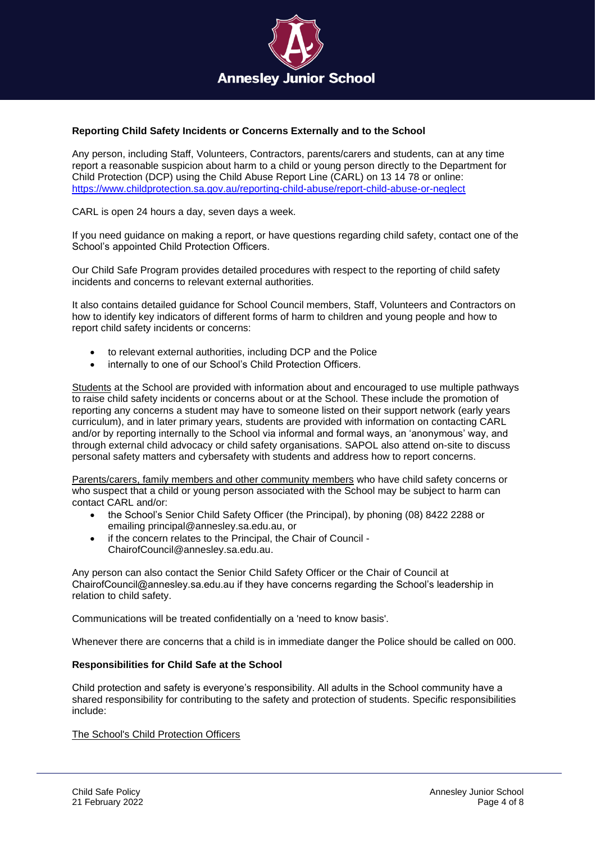

# **Reporting Child Safety Incidents or Concerns Externally and to the School**

Any person, including Staff, Volunteers, Contractors, parents/carers and students, can at any time report a reasonable suspicion about harm to a child or young person directly to the Department for Child Protection (DCP) using the Child Abuse Report Line (CARL) on 13 14 78 or [online:](https://www.childprotection.sa.gov.au/reporting-child-abuse/report-child-abuse-or-neglect) <https://www.childprotection.sa.gov.au/reporting-child-abuse/report-child-abuse-or-neglect>

CARL is open 24 hours a day, seven days a week.

If you need guidance on making a report, or have questions regarding child safety, contact one of the School's appointed Child Protection Officers.

Our Child Safe Program provides detailed procedures with respect to the reporting of child safety incidents and concerns to relevant external authorities.

It also contains detailed guidance for School Council members, Staff, Volunteers and Contractors on how to identify key indicators of different forms of harm to children and young people and how to report child safety incidents or concerns:

- to relevant external authorities, including DCP and the Police
- internally to one of our School's Child Protection Officers.

Students at the School are provided with information about and encouraged to use multiple pathways to raise child safety incidents or concerns about or at the School. These include the promotion of reporting any concerns a student may have to someone listed on their support network (early years curriculum), and in later primary years, students are provided with information on contacting CARL and/or by reporting internally to the School via informal and formal ways, an 'anonymous' way, and through external child advocacy or child safety organisations. SAPOL also attend on-site to discuss personal safety matters and cybersafety with students and address how to report concerns.

Parents/carers, family members and other community members who have child safety concerns or who suspect that a child or young person associated with the School may be subject to harm can contact CARL and/or:

- the School's Senior Child Safety Officer (the Principal), by phoning (08) 8422 2288 or emailing principal@annesley.sa.edu.au, or
- if the concern relates to the Principal, the Chair of Council [ChairofCouncil@annesley.sa.edu.au.](mailto:ChairofCouncil@annesley.sa.edu.au)

Any person can also contact the Senior Child Safety Officer or the Chair of Council at ChairofCouncil@annesley.sa.edu.au if they have concerns regarding the School's leadership in relation to child safety.

Communications will be treated confidentially on a 'need to know basis'.

Whenever there are concerns that a child is in immediate danger the Police should be called on 000.

## **Responsibilities for Child Safe at the School**

Child protection and safety is everyone's responsibility. All adults in the School community have a shared responsibility for contributing to the safety and protection of students. Specific responsibilities include:

The School's Child Protection Officers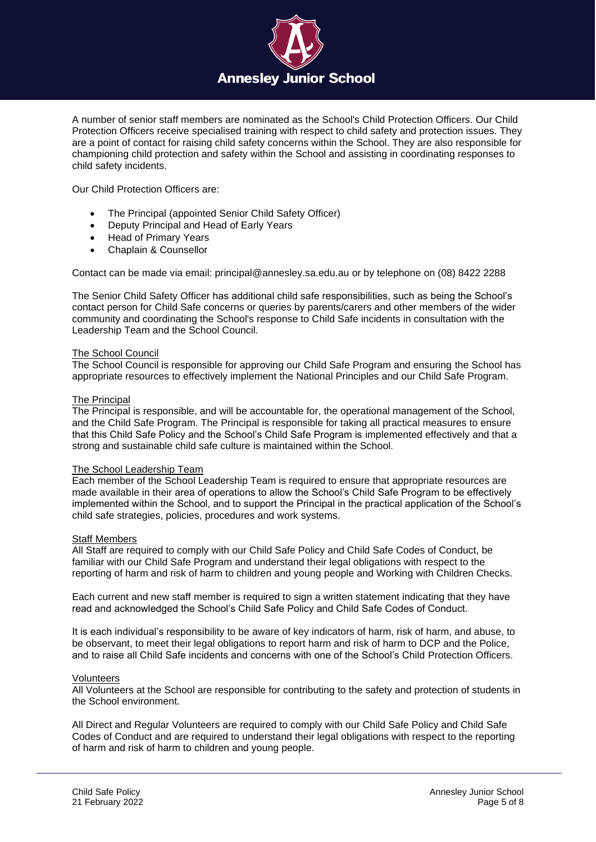

A number of senior staff members are nominated as the School's Child Protection Officers. Our Child Protection Officers receive specialised training with respect to child safety and protection issues. They are a point of contact for raising child safety concerns within the School. They are also responsible for championing child protection and safety within the School and assisting in coordinating responses to child safety incidents.

Our Child Protection Officers are:

- The Principal (appointed Senior Child Safety Officer)
- Deputy Principal and Head of Early Years
- Head of Primary Years
- Chaplain & Counsellor

Contact can be made via email: [principal@annesley.sa.edu.au](mailto:principal@annesley.sa.edu.au) or by telephone on (08) 8422 2288

The Senior Child Safety Officer has additional child safe responsibilities, such as being the School's contact person for Child Safe concerns or queries by parents/carers and other members of the wider community and coordinating the School's response to Child Safe incidents in consultation with the Leadership Team and the School Council.

## The School Council

The School Council is responsible for approving our Child Safe Program and ensuring the School has appropriate resources to effectively implement the National Principles and our Child Safe Program.

#### The Principal

The Principal is responsible, and will be accountable for, the operational management of the School, and the Child Safe Program. The Principal is responsible for taking all practical measures to ensure that this Child Safe Policy and the School's Child Safe Program is implemented effectively and that a strong and sustainable child safe culture is maintained within the School.

## The School Leadership Team

Each member of the School Leadership Team is required to ensure that appropriate resources are made available in their area of operations to allow the School's Child Safe Program to be effectively implemented within the School, and to support the Principal in the practical application of the School's child safe strategies, policies, procedures and work systems.

#### Staff Members

All Staff are required to comply with our Child Safe Policy and Child Safe Codes of Conduct, be familiar with our Child Safe Program and understand their legal obligations with respect to the reporting of harm and risk of harm to children and young people and Working with Children Checks.

Each current and new staff member is required to sign a written statement indicating that they have read and acknowledged the School's Child Safe Policy and Child Safe Codes of Conduct.

It is each individual's responsibility to be aware of key indicators of harm, risk of harm, and abuse, to be observant, to meet their legal obligations to report harm and risk of harm to DCP and the Police and to raise all Child Safe incidents and concerns with one of the School's Child Protection Officers.

#### Volunteers

All Volunteers at the School are responsible for contributing to the safety and protection of students in the School environment.

All Direct and Regular Volunteers are required to comply with our Child Safe Policy and Child Safe Codes of Conduct and are required to understand their legal obligations with respect to the reporting of harm and risk of harm to children and young people.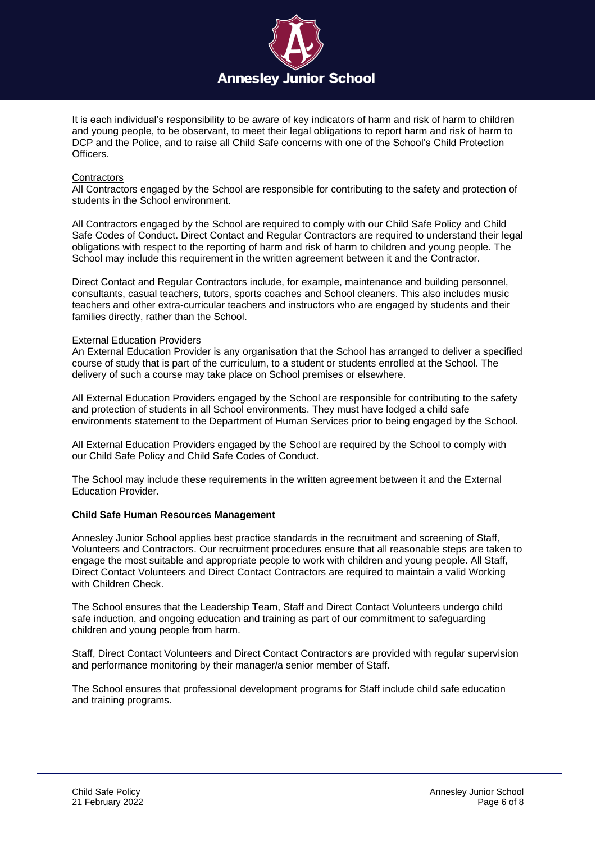

It is each individual's responsibility to be aware of key indicators of harm and risk of harm to children and young people, to be observant, to meet their legal obligations to report harm and risk of harm to DCP and the Police, and to raise all Child Safe concerns with one of the School's Child Protection Officers.

## **Contractors**

All Contractors engaged by the School are responsible for contributing to the safety and protection of students in the School environment.

All Contractors engaged by the School are required to comply with our Child Safe Policy and Child Safe Codes of Conduct. Direct Contact and Regular Contractors are required to understand their legal obligations with respect to the reporting of harm and risk of harm to children and young people. The School may include this requirement in the written agreement between it and the Contractor.

Direct Contact and Regular Contractors include, for example, maintenance and building personnel, consultants, casual teachers, tutors, sports coaches and School cleaners. This also includes music teachers and other extra-curricular teachers and instructors who are engaged by students and their families directly, rather than the School.

## External Education Providers

An External Education Provider is any organisation that the School has arranged to deliver a specified course of study that is part of the curriculum, to a student or students enrolled at the School. The delivery of such a course may take place on School premises or elsewhere.

All External Education Providers engaged by the School are responsible for contributing to the safety and protection of students in all School environments. They must have lodged a child safe environments statement to the Department of Human Services prior to being engaged by the School.

All External Education Providers engaged by the School are required by the School to comply with our Child Safe Policy and Child Safe Codes of Conduct.

The School may include these requirements in the written agreement between it and the External Education Provider.

## **Child Safe Human Resources Management**

Annesley Junior School applies best practice standards in the recruitment and screening of Staff, Volunteers and Contractors. Our recruitment procedures ensure that all reasonable steps are taken to engage the most suitable and appropriate people to work with children and young people. All Staff, Direct Contact Volunteers and Direct Contact Contractors are required to maintain a valid Working with Children Check.

The School ensures that the Leadership Team, Staff and Direct Contact Volunteers undergo child safe induction, and ongoing education and training as part of our commitment to safeguarding children and young people from harm.

Staff, Direct Contact Volunteers and Direct Contact Contractors are provided with regular supervision and performance monitoring by their manager/a senior member of Staff.

The School ensures that professional development programs for Staff include child safe education and training programs.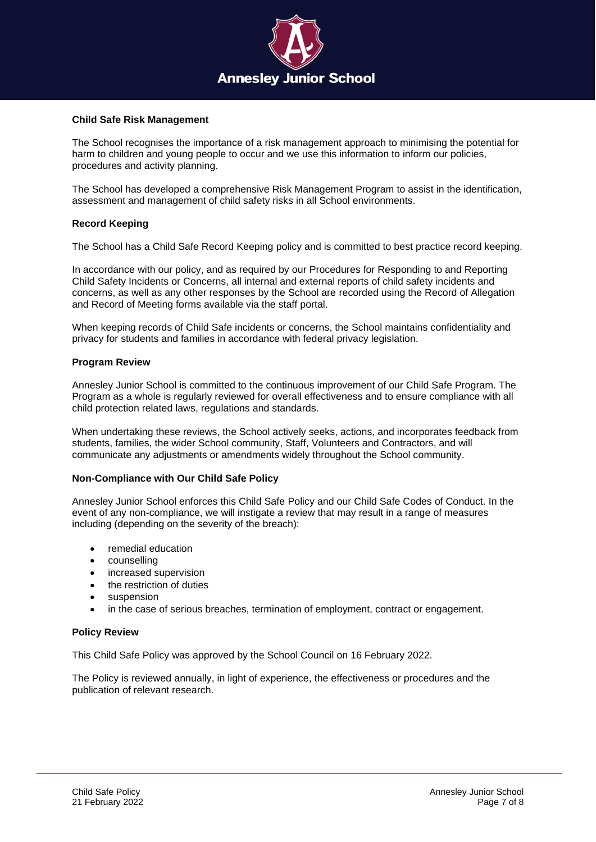

## **Child Safe Risk Management**

The School recognises the importance of a risk management approach to minimising the potential for harm to children and young people to occur and we use this information to inform our policies, procedures and activity planning.

The School has developed a comprehensive Risk Management Program to assist in the identification, assessment and management of child safety risks in all School environments.

# **Record Keeping**

The School has a [Child Safe Record Keeping](https://annesley.complispaceprimary.com.au/module/411/page/9b9b40ec-28fa-4a52-aedb-0b36c6b2fd9b.md) policy and is committed to best practice record keeping.

In accordance with our policy, and as required by our Procedures for Responding to and Reporting Child Safety Incidents or Concerns, all internal and external reports of child safety incidents and concerns, as well as any other responses by the School are recorded using the Record of Allegation and Record of Meeting forms available via the staff portal.

When keeping records of Child Safe incidents or concerns, the School maintains confidentiality and privacy for students and families in accordance with federal privacy legislation.

# **Program Review**

Annesley Junior School is committed to the continuous improvement of our Child Safe Program. The Program as a whole is regularly reviewed for overall effectiveness and to ensure compliance with all child protection related laws, regulations and standards.

When undertaking these reviews, the School actively seeks, actions, and incorporates feedback from students, families, the wider School community, Staff, Volunteers and Contractors, and will communicate any adjustments or amendments widely throughout the School community.

# **Non-Compliance with Our Child Safe Policy**

Annesley Junior School enforces this Child Safe Policy and our Child Safe Codes of Conduct. In the event of any non-compliance, we will instigate a review that may result in a range of measures including (depending on the severity of the breach):

- remedial education
- counselling
- increased supervision
- the restriction of duties
- suspension
- in the case of serious breaches, termination of employment, contract or engagement.

## **Policy Review**

This Child Safe Policy was approved by the School Council on 16 February 2022.

The Policy is reviewed annually, in light of experience, the effectiveness or procedures and the publication of relevant research.